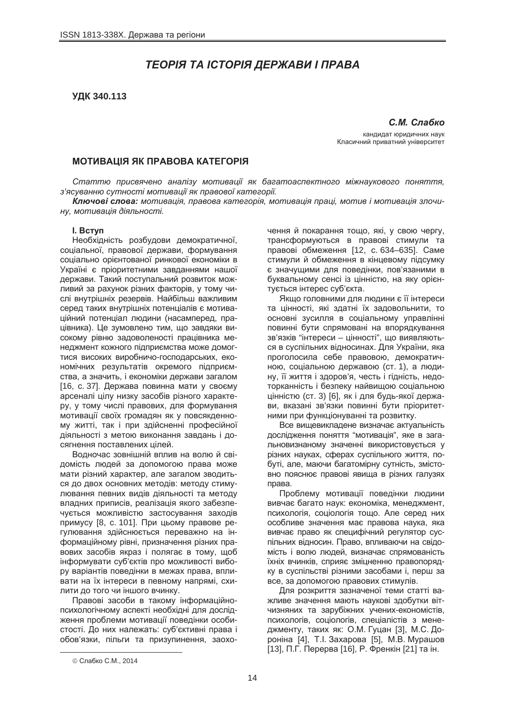# *ɌȿɈɊȱə ɌȺ ȱɋɌɈɊȱə ȾȿɊɀȺȼɂ ȱ ɉɊȺȼȺ*

# **ɍȾɄ 340.113**

 $C.M.$  Слабко кандидат юридичних наук Класичний приватний університет

## **МОТИВАЦІЯ ЯК ПРАВОВА КАТЕГОРІЯ**

*ɋɬɚɬɬɸ ɩɪɢɫɜɹɱɟɧɨ ɚɧɚɥɿɡɭ ɦɨɬɢɜɚɰɿʀ ɹɤ ɛɚɝɚɬɨɚɫɩɟɤɬɧɨɝɨ ɦɿɠɧɚɭɤɨɜɨɝɨ ɩɨɧɹɬɬɹ,*  $3'$ ясуванню сутності мотивації як правової категорії.

Kлючові слова: мотивація, правова категорія, мотивація праці, мотив і мотивація злочи- $HY, *momuesauія* діяльності.$ 

#### **l.** BCTVN

Необхідність розбудови демократичної, соціальної, правової держави, формування соціально орієнтованої ринкової економіки в Україні є пріоритетними завданнями нашої держави. Такий поступальний розвиток можливий за рахунок різних факторів, у тому числі внутрішніх резервів. Найбільш важливим серед таких внутрішніх потенціалів є мотиваційний потенціал людини (насамперед, працівника). Це зумовлено тим, що завдяки високому рівню задоволеності працівника менеджмент кожного підприємства може домогтися високих виробничо-господарських, економічних результатів окремого підприємства, а значить, і економіки держави загалом  $[16, c. 37]$ . Держава повинна мати у своєму арсеналі цілу низку засобів різного характеру, у тому числі правових, для формування мотивації своїх громадян як у повсякденному житті, так і при здійсненні професійної діяльності з метою виконання завдань і до-.<br>сягнення поставлених цілей.

Водночас зовнішній вплив на волю й свідомість людей за допомогою права може мати різний характер, але загалом зводиться до двох основних методів: методу стимулювання певних видів діяльності та методу владних приписів, реалізація якого забезпечується можливістю застосування заходів примусу [8, с. 101]. При цьому правове регулювання здійснюється переважно на інформаційному рівні, призначення різних правових засобів якраз і полягає в тому, щоб інформувати суб'єктів про можливості вибору варіантів поведінки в межах права, впливати на їх інтереси в певному напрямі, схилити до того чи іншого вчинку.

Правові засоби в такому інформаційнопсихологічному аспекті необхідні для дослідження проблеми мотивації поведінки особистості. До них належать: суб'єктивні права і обов'язки, пільги та призупинення, заохо-

чення й покарання тощо, які, у свою чергу, трансформуються в правові стимули та правові обмеження [12, с. 634–635]. Саме стимули й обмеження в кінцевому підсумку є значущими для поведінки, пов'язаними в буквальному сенсі із цінністю, на яку орієнтується інтерес суб'єкта.

Якщо головними для людини є її інтереси та цінності, які здатні їх задовольнити, то основні зусилля в соціальному управлінні повинні бути спрямовані на впорядкування зв'язків "інтереси – цінності", що виявляються в суспільних відносинах. Для України, яка проголосила себе правовою, демократичною, соціальною державою (ст. 1), а людину, її життя і здоров'я, честь і гідність, недоторканність і безпеку найвищою соціальною цінністю (ст. 3) [6], як і для будь-якої держави, вказані зв'язки повинні бути пріоритетними при функціонуванні та розвитку.

Все вишевикладене визначає актуальність дослідження поняття "мотивація", яке в загальновизнаному значенні використовується у різних науках, сферах суспільного життя, побуті, але, маючи багатомірну сутність, змістовно пояснює правові явища в різних галузях  $II^R$ 

Проблему мотивації поведінки людини вивчає багато наук: економіка, менеджмент, психологія, соціологія тощо. Але серед них особливе значення має правова наука, яка вивчає право як специфічний регулятор суспільних відносин. Право, впливаючи на свідомість і волю людей, визначає спрямованість їхніх вчинків, сприяє зміцненню правопорядку в суспільстві різними засобами і, перш за все, за допомогою правових стимулів.

Для розкриття зазначеної теми статті важливе значення мають наукові здобутки вітчизняних та зарубіжних учених-економістів, психологів, соціологів, спеціалістів з менеджменту, таких як: О.М. Гуцан [3], М.С. Дороніна [4], Т.І. Захарова [5], М.В. Мурашов [13], П.Г. Перерва [16], Р. Френкін [21] та ін.

 $\overline{a}$ 

<sup>©</sup> Слабко С.М., 2014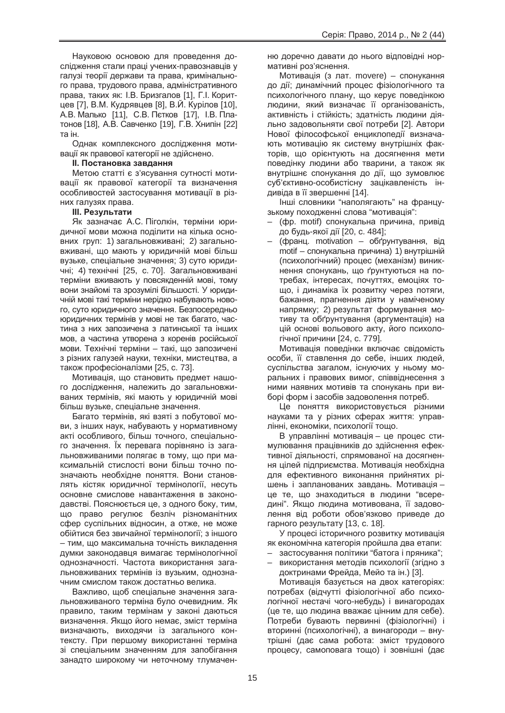Науковою основою для проведення дослідження стали праці учених-правознавців у галузі теорії держави та права, кримінального права, трудового права, адміністративного права, таких як: І.В. Бризгалов [1], Г.І. Коритцев [7], В.М. Кудрявцев [8], В.Й. Курілов [10], А.В. Малько [11], С.В. Пєтков [17], І.В. Платонов [18], А.В. Савченко [19], Г.В. Хнипін [22] та ін

Однак комплексного дослідження мотивації як правової категорії не здійснено.

# **II. Постановка завдання**

Метою статті є з'ясування сутності мотивації як правової категорії та визначення особливостей застосування мотивації в різних галузях права.

# **Ш. Результати**

Як зазначає А.С. Піголкін, терміни юридичної мови можна поділити на кілька основних груп: 1) загальновживані; 2) загальновживані, що мають у юридичній мові більш вузьке, спеціальне значення; 3) суто юридичні; 4) технічні [25, с. 70]. Загальновживані терміни вживають у повсякденній мові, тому вони знайомі та зрозумілі більшості. У юридичній мові такі терміни нерідко набувають нового, суто юридичного значення. Безпосередньо юридичних термінів у мові не так багато, частина з них запозичена з латинської та інших мов, а частина утворена з коренів російської мови. Технічні терміни – такі. що запозичені з різних галузей науки, техніки, мистецтва, а також професіоналізми [25, с. 73].

Мотивація, що становить предмет нашого дослідження, належить до загальновживаних термінів, які мають у юридичній мові більш вузьке, спеціальне значення,

Багато термінів, які взяті з побутової мови, з інших наук, набувають у нормативному акті особливого, більш точного, спеціального значення. Їх перевага порівняно із загальновживаними полягає в тому, що при максимальній стислості вони більш точно позначають необхідне поняття. Вони становлять кістяк юридичної термінології, несуть основне смислове навантаження в законодавстві. Пояснюється це, з одного боку, тим, що право регулює безліч різноманітних сфер суспільних відносин, а отже, не може обійтися без звичайної термінології; з іншого – тим, що максимальна точність викладення думки законодавця вимагає термінологічної однозначності. Частота використання загальновживаних термінів із вузьким, однозначним смислом також достатньо велика.

Важливо, шоб спеціальне значення загальновживаного терміна було очевидним. Як правило, таким термінам у законі даються визначення. Якщо його немає, зміст терміна визначають, виходячи із загального контексту. При першому використанні терміна зі спеціальним значенням для запобігання занадто широкому чи неточному тлумаченню доречно давати до нього відповідні нормативні роз'яснення.

Мотивація (з лат. movere) – спонукання до дії; динамічний процес фізіологічного та психологічного плану, що керує поведінкою людини, який визначає її організованість, активність і стійкість; здатність людини діяльно задовольняти свої потреби [2]. Автори Нової філософської енциклопедії визначають мотивацію як систему внутрішніх факторів, що орієнтують на досягнення мети поведінку людини або тварини, а також як внутрішнє спонукання до дії, що зумовлює суб'єктивно-особистісну зацікавленість індивіда в її звершенні [14].

Інші словники "наполягають" на французькому походженні слова "мотивація":

- (фр. motif) спонукальна причина, привід до будь-якої дії [20, с. 484];
- (франц. motivation обґрунтування, від motif – спонукальна причина) 1) внутрішній (психологічний) процес (механізм) виникнення спонукань, що ґрунтуються на потребах, інтересах, почуттях, емоціях тощо, і динаміка їх розвитку через потяги, бажання, прагнення діяти у наміченому напрямку; 2) результат формування мотиву та обґрунтування (аргументація) на цій основі вольового акту, його психологічної причини [24, с. 779].

Мотивація поведінки включає свідомість особи, її ставлення до себе, інших людей, суспільства загалом, існуючих у ньому моральних і правових вимог, співвіднесення з ними наявних мотивів та спонукань при виборі форм і засобів задоволення потреб.

Це поняття використовується різними науками та у різних сферах життя: управлінні, економіки, психології тощо.

В управлінні мотивація – це процес стимулювання працівників до здійснення ефективної діяльності, спрямованої на досягнення цілей підприємства. Мотивація необхідна для ефективного виконання прийнятих рішень і запланованих завдань. Мотивація – це те, що знаходиться в людини "всередині". Якщо людина мотивована, її задоволення від роботи обов'язково приведе до гарного результату [13, с. 18].

У процесі історичного розвитку мотивація як економічна категорія пройшла два етапи:

- застосування політики "батога і пряника";
- використання методів психології (згідно з доктринами Фрейда, Мейо та ін.) [3].

Мотивація базується на двох категоріях: потребах (відчутті фізіологічної або психологічної нестачі чого-небудь) і винагородах (це те, що людина вважає цінним для себе). Потреби бувають первинні (фізіологічні) і вторинні (психологічні), а винагороди – внутрішні (дає сама робота: зміст трудового процесу, самоповага тощо) і зовнішні (дає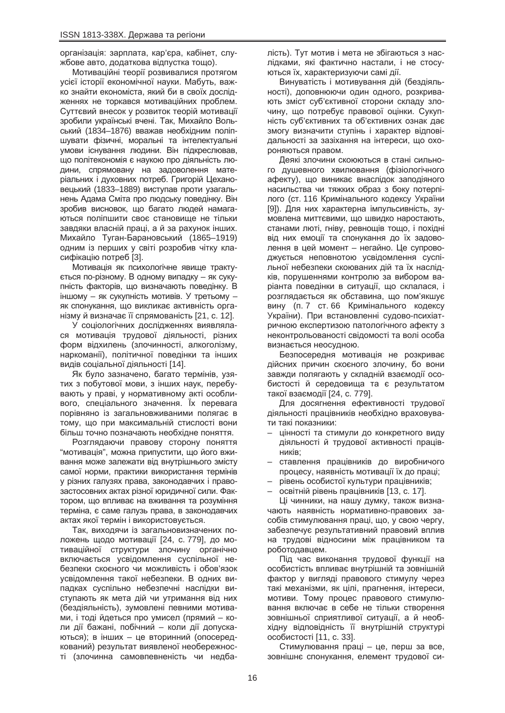організація: зарплата, кар'єра, кабінет, службове авто, додаткова відпустка тощо).

Мотиваційні теорії розвивалися протягом усієї історії економічної науки. Мабуть, важко знайти економіста, який би в своїх дослідженнях не торкався мотиваційних проблем. Суттєвий внесок у розвиток теорій мотивації зробили українські вчені. Так, Михайло Вольський (1834–1876) вважав необхідним поліпшувати фізичні, моральні та інтелектуальні умови існування людини. Він підкреслював, що політекономія є наукою про діяльність людини, спрямовану на задоволення матеріальних і духовних потреб. Григорій Цехановецький (1833–1889) виступав проти узагальнень Адама Сміта про людську поведінку. Він зробив висновок, що багато людей намагаються поліпшити своє становище не тільки завдяки власній праці, а й за рахунок інших. Михайло Туган-Барановський (1865–1919) одним із перших у світі розробив чітку класифікацію потреб [3].

Мотивація як психологічне явище трактується по-різному. В одному випадку – як сукупність факторів, що визначають поведінку. В іншому – як сукупність мотивів. У третьому – як спонукання, що викликає активність організму й визначає її спрямованість [21, с. 12].

У соціологічних дослідженнях виявлялася мотивація трудової діяльності, різних форм відхилень (злочинності, алкоголізму, наркоманії), політичної поведінки та інших видів соціальної діяльності [14].

Як було зазначено, багато термінів, узятих з побутової мови, з інших наук, перебувають у праві, у нормативному акті особливого, спеціального значення. Їх перевага порівняно із загальновживаними полягає в тому, що при максимальній стислості вони більш точно позначають необхідне поняття.

Розглядаючи правову сторону поняття "мотивація", можна припустити, що його вживання може залежати від внутрішнього змісту самої норми, практики використання термінів у різних галузях права, законодавчих і правозастосовних актах різної юридичної сили. Фактором, що впливає на вживання та розуміння терміна, є саме галузь права, в законодавчих актах якої термін і використовується.

Так, виходячи із загальновизначених положень щодо мотивації [24, с. 779], до мотиваційної структури злочину органічно включається усвідомлення суспільної небезпеки скоєного чи можливість і обов'язок усвідомлення такої небезпеки. В одних випадках суспільно небезпечні наслідки виступають як мета дій чи утримання від них (бездіяльність), зумовлені певними мотивами, і тоді йдеться про умисел (прямий – коли дії бажані, побічний – коли дії допускаються); в інших – це вторинний (опосередкований) результат виявленої необережності (злочинна самовпевненість чи недбалість). Тут мотив і мета не збігаються з наслідками, які фактично настали, і не стосуються їх, характеризуючи самі дії.

Винуватість і мотивування дій (бездіяльності), доповнюючи один одного, розкривають зміст суб'єктивної сторони складу злочину, що потребує правової оцінки. Сукупність суб'єктивних та об'єктивних ознак дає змогу визначити ступінь і характер відповідальності за зазіхання на інтереси, що охороняються правом.

Деякі злочини скоюються в стані сильного душевного хвилювання (фізіологічного афекту), що виникає внаслідок заподіяного насильства чи тяжких образ з боку потерпілого (ст. 116 Кримінального кодексу України [9]). Для них характерна імпульсивність, зумовлена миттєвими, що швидко наростають, станами люті, гніву, ревношів тошо, і похідні від них емоції та спонукання до їх задоволення в цей момент – негайно. Це супроводжується неповнотою усвідомлення суспільної небезпеки скоюваних дій та їх наслідків, порушеннями контролю за вибором варіанта поведінки в ситуації, що склалася, і розглядається як обставина, що пом'якшує вину (п. 7 ст. 66 Кримінального кодексу України). При встановленні судово-психіатричною експертизою патологічного афекту з неконтрольованості свідомості та волі особа визнається неосудною.

Безпосередня мотивація не розкриває дійсних причин скоєного злочину, бо вони завжди полягають у складній взаємодії особистості й середовища та є результатом такої взаємодії [24, с. 779].

Для досягнення ефективності трудової діяльності працівників необхідно враховувати такі показники:

- цінності та стимули до конкретного виду діяльності й трудової активності працівників;
- ставлення працівників до виробничого процесу, наявність мотивації їх до праці:
- рівень особистої культури працівників;

освітній рівень працівників [13, с. 17]. Ці чинники, на нашу думку, також визначають наявність нормативно-правових засобів стимулювання праці, що, у свою чергу, забезпечує результативний правовий вплив на трудові відносини між працівником та роботодавцем.

Під час виконання трудової функції на особистість впливає внутрішній та зовнішній фактор у вигляді правового стимулу через такі механізми, як цілі, прагнення, інтереси, мотиви. Тому процес правового стимулювання включає в себе не тільки створення зовнішньої сприятливої ситуації, а й необхідну відповідність її внутрішній структурі особистості [11, с. 33].

Стимулювання праці – це, перш за все, зовнішнє спонукання, елемент трудової си-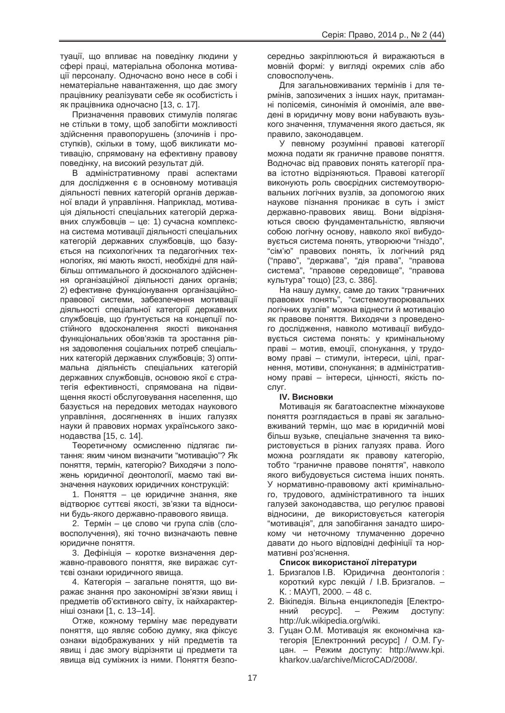туації, що впливає на поведінку людини у сфері праці, матеріальна оболонка мотивації персоналу. Одночасно воно несе в собі і нематеріальне навантаження, що дає змогу працівнику реалізувати себе як особистість і як працівника одночасно [13, с. 17].

Призначення правових стимулів полягає не стільки в тому, щоб запобігти можливості здійснення правопорушень (злочинів і проступків), скільки в тому, щоб викликати мотивацію, спрямовану на ефективну правову поведінку, на високий результат дій.

В адміністративному праві аспектами для дослідження є в основному мотивація діяльності певних категорій органів державної влади й управління. Наприклад, мотивація діяльності спеціальних категорій державних службовців – це: 1) сучасна комплексна система мотивації діяльності спеціальних категорій державних службовців, що базується на психологічних та педагогічних технологіях, які мають якості, необхідні для найбільш оптимального й досконалого здійснення організаційної діяльності даних органів; 2) ефективне функціонування організаційноправової системи, забезпечення мотивації діяльності спеціальної категорії державних службовців, що ґрунтується на концепції постійного вдосконалення якості виконання функціональних обов'язків та зростання рівня задоволення соціальних потреб спеціальних категорій державних службовців; 3) оптимальна діяльність спеціальних категорій державних службовців, основою якої є стратегія ефективності, спрямована на підвишення якості обслуговування населення, що базується на передових методах наукового управління, досягненнях в інших галузях науки й правових нормах українського законодавства [15, с. 14].

Теоретичному осмисленню підлягає питання: яким чином визначити "мотивацію"? Як поняття, термін, категорію? Виходячи з положень юридичної деонтології, маємо такі визначення наукових юридичних конструкцій:

1. Поняття – це юридичне знання, яке відтворює суттєві якості, зв'язки та відносини будь-якого державно-правового явища.

2. Термін – це слово чи група слів (словосполучення), які точно визначають певне юридичне поняття.

3. Дефініція – коротке визначення державно-правового поняття, яке виражає суттєві ознаки юридичного явища.

4. Категорія – загальне поняття, що виражає знання про закономірні зв'язки явищ і предметів об'єктивного світу, їх найхарактерніші ознаки [1, с. 13–14].

Отже, кожному терміну має передувати поняття, що являє собою думку, яка фіксує ознаки відображуваних у ній предметів та явищ і дає змогу відрізняти ці предмети та явища від суміжних із ними. Поняття безпосередньо закріплюються й виражаються в мовній формі: у вигляді окремих слів або словосполучень.

Для загальновживаних термінів і для термінів, запозичених з інших наук, притаманні полісемія, синонімія й омонімія, але введені в юридичну мову вони набувають вузького значення, тлумачення якого дається, як правило, законодавцем.

У певному розумінні правові категорії можна подати як граничне правове поняття. Водночас від правових понять категорії права істотно відрізняються. Правові категорії виконують роль своєрідних системоутворювальних логічних вузлів, за допомогою яких наукове пізнання проникає в суть і зміст державно-правових явищ. Вони відрізняються своєю фундаментальністю, являючи собою логічну основу, навколо якої вибудовується система понять, утворюючи "гніздо", "сім'ю" правових понять, їх логічний ряд ("право", "держава", "дія права", "правова система", "правове середовище", "правова культура" тощо) [23, с. 386].

На нашу думку, саме до таких "граничних правових понять", "системоутворювальних логічних вузлів" можна віднести й мотивацію як правове поняття. Виходячи з проведеного дослідження, навколо мотивації вибудовується система понять: у кримінальному праві – мотив, емоції, спонукання, у трудовому праві – стимули, інтереси, цілі, прагнення, мотиви, спонукання; в адміністративному праві – інтереси, цінності, якість послуг.

# **IV. Висновки**

Мотивація як багатоаспектне міжна кове поняття розглядається в праві як загальновживаний термін, що має в юридичній мові більш вузьке, спеціальне значення та використовується в різних галузях права. Його можна розглядати як правову категорію, тобто "граничне правове поняття", навколо якого вибудовується система інших понять. У нормативно-правовому акті кримінального, трудового, адміністративного та інших галузей законодавства, що регулює правові відносини, де використовується категорія "мотивація", для запобігання занадто широкому чи неточному тлумаченню доречно давати до нього відповідні дефініції та нормативні роз'яснення.

## Список використаної літератури

- 1. Бризгалов І.В. Юридична деонтологія: короткий курс лекцій / І.В. Бризгалов. –  $K.$ : MAYT. 2000. – 48 c.
- 2. Вікіпедія. Вільна енциклопедія [Електро-ННИЙ ресурс]. – Режим доступу: http://uk.wikipedia.org/wiki.
- 3. Гуцан О.М. Мотивація як економічна категорія [Електронний ресурс] / О.М. Гуцан. – Режим доступу: http://www.kpi. kharkov.ua/archive/MicroCAD/2008/.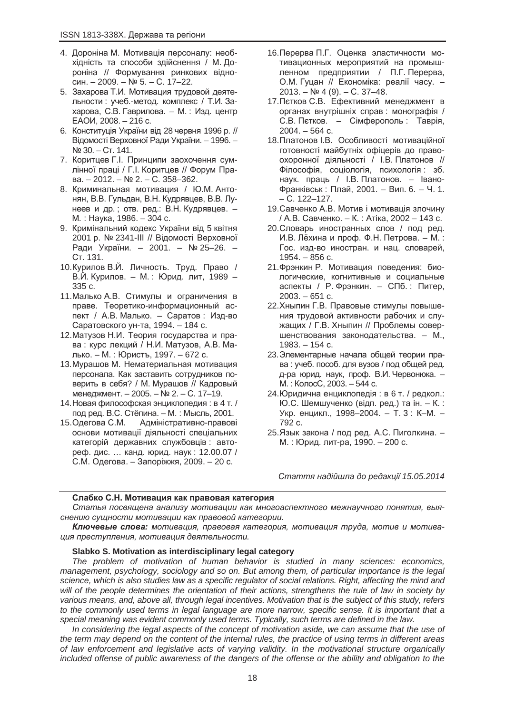- 4. Дороніна М. Мотивація персоналу: необхідність та способи здійснення / М. Дороніна // Формування ринкових відно- $CHH. - 2009. - Ne 5. - C. 17-22.$
- 5. Захарова Т.И. Мотивация трудовой деятельности : учеб.-метод. комплекс / Т.И. Захарова, С.В. Гаврилова. – М.: Изд. центр  $EAOM, 2008. - 216$  c.
- 6. Конституція України від 28 червня 1996 р. // Відомості Верховної Ради України. – 1996. –  $N<sup>°</sup>30. - CT. 141.$
- 7. Коритцев Г.І. Принципи заохочення сумлінної праці / Г.І. Коритцев // Форум Права. – 2012. – № 2. – С. 358–362.
- 8. Криминальная мотивация / Ю.М. Антонян, В.В. Гульдан, В.Н. Кудрявцев, В.В. Лунеев и др.; отв. ред.: В.Н. Кудрявцев. -М. : Наука, 1986. – 304 с.
- 9. Кримінальний кодекс України від 5 квітня 2001 р. № 2341-III // Відомості Верховної Ради України. - 2001. - № 25-26. -Ст. 131.
- 10. Курилов В.Й. Личность. Труд. Право / В.Й. Курилов. – М.: Юрид. лит, 1989 – 335 c.
- 11. Малько А.В. Стимулы и ограничения в праве. Теоретико-информационный аспект / А.В. Малько. – Саратов: Изд-во Саратовского ун-та, 1994. – 184 с.
- 12. Матузов Н.И. Теория государства и права: курс лекций / Н.И. Матузов, А.В. Малько. – М. : Юристъ, 1997. – 672 с.
- 13. Мурашов М. Нематериальная мотивация персонала. Как заставить сотрудников поверить в себя? / М. Мурашов // Кадровый менеджмент. – 2005. – № 2. – С. 17–19.
- 14. Новая философская энциклопедия: в 4 т. / под ред. В.С. Стёпина. – М. : Мысль. 2001.
- 15. Одегова С.М. Адміністративно-правові основи мотивації діяльності спеціальних категорій державних службовців; автореф. дис. ... канд. юрид. наук: 12.00.07 / С.М. Одегова. – Запоріжжя, 2009. – 20 с.
- 16. Перерва П.Г. Оценка эластичности мотивационных мероприятий на промышленном предприятии / П.Г. Перерва, О.М. Гуцан // Економіка: реалії часу. - $2013. - Ne4(9) - C. 37-48.$
- 17. Петков С.В. Ефективний менеджмент в органах внутрішніх справ: монографія / С.В. Петков. – Сімферополь: Таврія,  $2004. - 564$  c.
- 18. Платонов І.В. Особливості мотиваційної готовності майбутніх офіцерів до правоохоронної діяльності / І.В. Платонов // Філософія, соціологія, психологія: зб. наук. праць / І.В. Платонов. – Івано-Франківськ: Плай, 2001. – Вип. 6. – Ч. 1.  $- C. 122 - 127.$
- 19. Савченко А.В. Мотив і мотивація злочину / А.В. Савченко. – К. : Атіка, 2002 – 143 с.
- 20. Словарь иностранных слов / под ред. И.В. Лёхина и проф. Ф.Н. Петрова. – М.: Гос. изд-во иностран. и нац. словарей,  $1954. - 856$  c.
- 21. Фрэнкин Р. Мотивация поведения: биологические, когнитивные и социальные аспекты / Р. Фрэнкин. – СПб.: Питер.  $2003. - 651$  c.
- 22. Хныпин Г.В. Правовые стимулы повышения трудовой активности рабочих и служащих / Г.В. Хныпин // Проблемы совершенствования законодательства. – М.,  $1983. - 154$  c.
- 23. Элементарные начала общей теории права: учеб. пособ. для вузов / под общей ред. д-ра юрид. наук, проф. В.И. Червонюка. – М.: КолосС, 2003. – 544 с.
- 24. Юридична енциклопедія: в 6 т. / редкол.: Ю.С. Шемшученко (відп. ред.) та ін. – К.: Укр. енцикл., 1998–2004. –  $\overline{T}$ . 3 : К–М. – 792 c.
- 25. Язык закона / под ред. А.С. Пиголкина. М. : Юрид. лит-ра. 1990. – 200 с.

 $C$ таття надійшла до редакції 15.05.2014

## Слабко С.Н. Мотивация как правовая категория

Статья посвящена анализу мотивации как многоаспектного межнаучного понятия, выя $c$ *Hению сушности мотивации как правовой категории.* 

Kлючевые слова: мотивация, правовая категория, мотивация труда, мотив и мотива*ɰɢɹ ɩɪɟɫɬɭɩɥɟɧɢɹ, ɦɨɬɢɜɚɰɢɹ ɞɟɹɬɟɥɶɧɨɫɬɢ.*

## **Slabko S. Motivation as interdisciplinary legal category**

*The problem of motivation of human behavior is studied in many sciences: economics, management, psychology, sociology and so on. But among them, of particular importance is the legal science, which is also studies law as a specific regulator of social relations. Right, affecting the mind and will of the people determines the orientation of their actions, strengthens the rule of law in society by various means, and, above all, through legal incentives. Motivation that is the subject of this study, refers to the commonly used terms in legal language are more narrow, specific sense. It is important that a special meaning was evident commonly used terms. Typically, such terms are defined in the law.*

*In considering the legal aspects of the concept of motivation aside, we can assume that the use of the term may depend on the content of the internal rules, the practice of using terms in different areas of law enforcement and legislative acts of varying validity. In the motivational structure organically included offense of public awareness of the dangers of the offense or the ability and obligation to the*